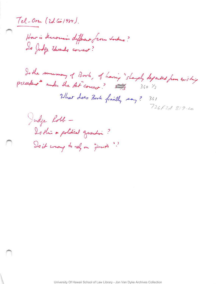Tel-Oren (2d Cir 1984).

 $\sqrt{2}$   $\sqrt{2}$   $\sqrt{2}$   $\sqrt{2}$ 20 Judge Edwards correct?

Is the summary of Bork, of having "sharply departed from existing precedent ander the At<sup>r</sup>correct?  $\frac{3}{100}$  360 /3

What does Bork finally say ? 361  $726f2d819.20$ 

9+ *tAt-* Is this a political question? So it wrong to red on "just"